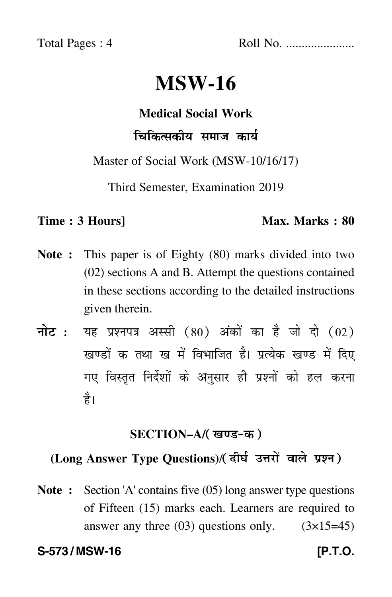Total Pages : 4 Roll No. ......................

# **MSW-16**

# **Medical Social Work**

# चिकित्सकीय समाज कार्य

Master of Social Work (MSW-10/16/17)

Third Semester, Examination 2019

#### **Time : 3 Hours]** Max. Marks : 80

- **Note :** This paper is of Eighty (80) marks divided into two (02) sections A and B. Attempt the questions contained in these sections according to the detailed instructions given therein.
- नोट : यह प्रश्नपत्र अस्सी (80) अंकों का है जो दो (02) खण्डों क तथा ख में विभाजित है। प्रत्येक खण्ड में दिए गए विस्तृत निर्देशों के अनुसार ही प्रश्नों को हल करन<mark>ा</mark> है।

# **SECTION–A/**

# **(Long Answer Type Questions)**/

**Note :** Section 'A' contains five (05) long answer type questions of Fifteen (15) marks each. Learners are required to answer any three  $(03)$  questions only.  $(3\times15=45)$ 

### **S-573 / MSW-16 [P.T.O.**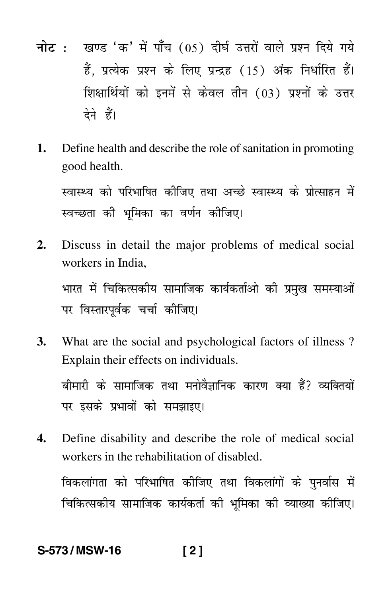- <mark>नोट</mark> : खण्ड 'क' में पाँच (05) दीर्घ उत्तरों वाले प्रश्न दिये गये हैं, प्रत्येक प्रश्न के लिए प्रन्द्रह (15) अंक निर्धारित हैं। शिक्षार्थियों को इनमें से केवल तीन (03) प्रश्नों के उत्तर देने हैं।
- **1.** Define health and describe the role of sanitation in promoting good health.

स्वास्थ्य को परिभाषित कीजिए तथा अच्छे स्वास्थ्य के प्रोत्साहन में स्वच्छता की भूमिका का वर्णन कीजिए।

**2.** Discuss in detail the major problems of medical social workers in India,

भारत में चिकित्सकीय सामाजिक कार्यकर्ताओं की प्रमुख समस्याओं पर विस्तारपूर्वक चर्चा कीजिए।

**3.** What are the social and psychological factors of illness ? Explain their effects on individuals.

बीमारी के सामाजिक तथा मनोवैज्ञानिक कारण क्या हैं? व्यक्तियों पर इसके प्रभावों को समझाइए।

**4.** Define disability and describe the role of medical social workers in the rehabilitation of disabled.

विकलांगता को परिभाषित कीजिए तथा विकलांगों के पुनर्वास में चिकित्सकीय सामाजिक कार्यकर्ता की भूमिका की व्याख्या कीजिए।

# **S-573 / MSW-16 [ 2 ]**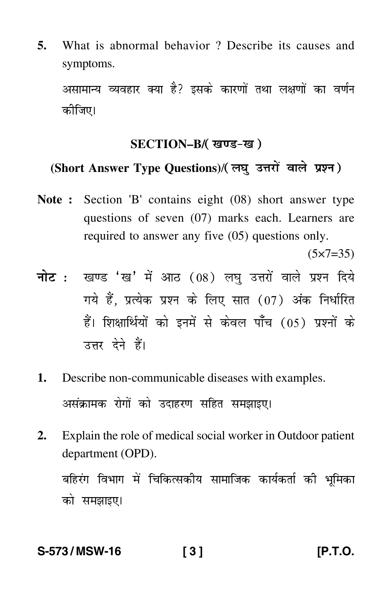**5.** What is abnormal behavior ? Describe its causes and symptoms.

असामान्य व्यवहार क्या है? इसके कारणों तथा लक्षणों का वर्णन कीजिए।

# **SECTION–B/**

# **(Short Answer Type Questions)**/

**Note :** Section 'B' contains eight (08) short answer type questions of seven (07) marks each. Learners are required to answer any five (05) questions only.

 $(5 \times 7 = 35)$ 

- <mark>नोट</mark> : खण्ड 'ख' में आठ (08) लघु उत्तरों वाले प्रश्न दिये गये हैं, प्रत्येक प्रश्न के लिए सात (07) अंक निर्धारित हैं। शिक्षार्थियों को इनमें से केवल पाँच (05) प्रश्नों के उत्तर देने हैं।
- **1.** Describe non-communicable diseases with examples. असंक्रामक रोगों को उदाहरण सहित समझाइए।
- **2.** Explain the role of medical social worker in Outdoor patient department (OPD).

बहिरंग विभाग में चिकित्सकीय सामाजिक कार्यकर्ता की भूमिका को समझाइए।

### **S-573 / MSW-16 [ 3 ] [P.T.O.**